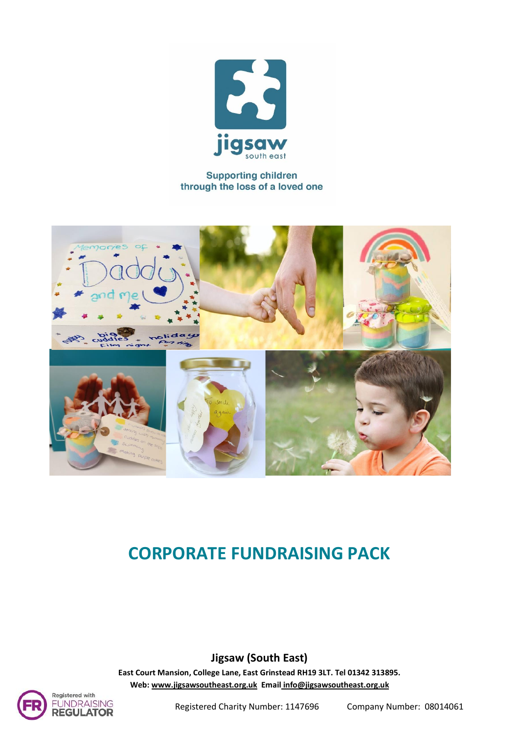

#### **Supporting children** through the loss of a loved one



# **CORPORATE FUNDRAISING PACK**

**Jigsaw (South East)**

**East Court Mansion, College Lane, East Grinstead RH19 3LT. Tel 01342 313895. Web[: www.jigsawsoutheast.org.uk](http://www.jigsawsoutheast.org.uk/) Email [info@jigsawsoutheast.org.uk](mailto:info@jigsawsoutheast.org.uk)**

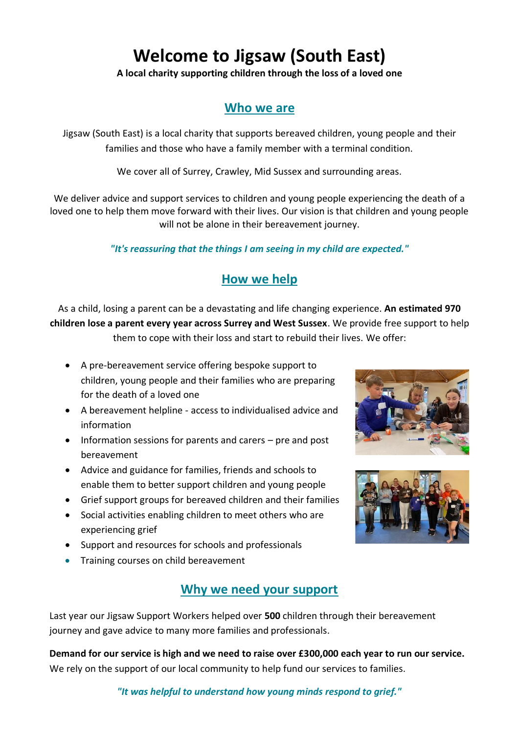# **Welcome to Jigsaw (South East)**

**A local charity supporting children through the loss of a loved one**

# **Who we are**

Jigsaw (South East) is a local charity that supports bereaved children, young people and their families and those who have a family member with a terminal condition.

We cover all of Surrey, Crawley, Mid Sussex and surrounding areas.

We deliver advice and support services to children and young people experiencing the death of a loved one to help them move forward with their lives. Our vision is that children and young people will not be alone in their bereavement journey.

#### *"It's reassuring that the things I am seeing in my child are expected."*

# **How we help**

As a child, losing a parent can be a devastating and life changing experience. **An estimated 970 children lose a parent every year across Surrey and West Sussex**. We provide free support to help them to cope with their loss and start to rebuild their lives. We offer:

- A pre-bereavement service offering bespoke support to children, young people and their families who are preparing for the death of a loved one
- A bereavement helpline access to individualised advice and information
- Information sessions for parents and carers pre and post bereavement
- Advice and guidance for families, friends and schools to enable them to better support children and young people
- Grief support groups for bereaved children and their families
- Social activities enabling children to meet others who are experiencing grief
- Support and resources for schools and professionals
- Training courses on child bereavement

# **Why we need your support**

Last year our Jigsaw Support Workers helped over **500** children through their bereavement journey and gave advice to many more families and professionals.

**Demand for our service is high and we need to raise over £300,000 each year to run our service.**  We rely on the support of our local community to help fund our services to families.

#### *"It was helpful to understand how young minds respond to grief."*



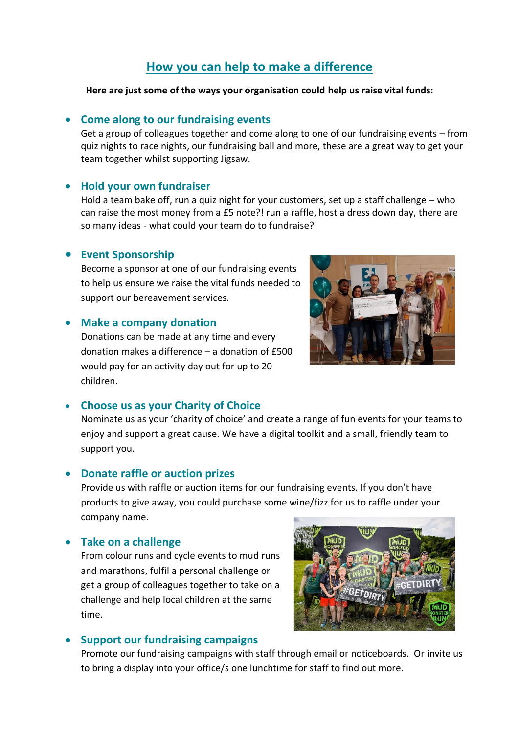## **How you can help to make a difference**

#### **Here are just some of the ways your organisation could help us raise vital funds:**

#### • **Come along to our fundraising events**

Get a group of colleagues together and come along to one of our fundraising events – from quiz nights to race nights, our fundraising ball and more, these are a great way to get your team together whilst supporting Jigsaw.

#### • **Hold your own fundraiser**

Hold a team bake off, run a quiz night for your customers, set up a staff challenge – who can raise the most money from a £5 note?! run a raffle, host a dress down day, there are so many ideas - what could your team do to fundraise?

#### • **Event Sponsorship**

Become a sponsor at one of our fundraising events to help us ensure we raise the vital funds needed to support our bereavement services.

#### • **Make a company donation**

Donations can be made at any time and every donation makes a difference – a donation of £500 would pay for an activity day out for up to 20 children.



Nominate us as your 'charity of choice' and create a range of fun events for your teams to enjoy and support a great cause. We have a digital toolkit and a small, friendly team to support you.

#### • **Donate raffle or auction prizes**

Provide us with raffle or auction items for our fundraising events. If you don't have products to give away, you could purchase some wine/fizz for us to raffle under your company name.

#### • **Take on a challenge**

From colour runs and cycle events to mud runs and marathons, fulfil a personal challenge or get a group of colleagues together to take on a challenge and help local children at the same time.



#### • **Support our fundraising campaigns**

Promote our fundraising campaigns with staff through email or noticeboards. Or invite us to bring a display into your office/s one lunchtime for staff to find out more.

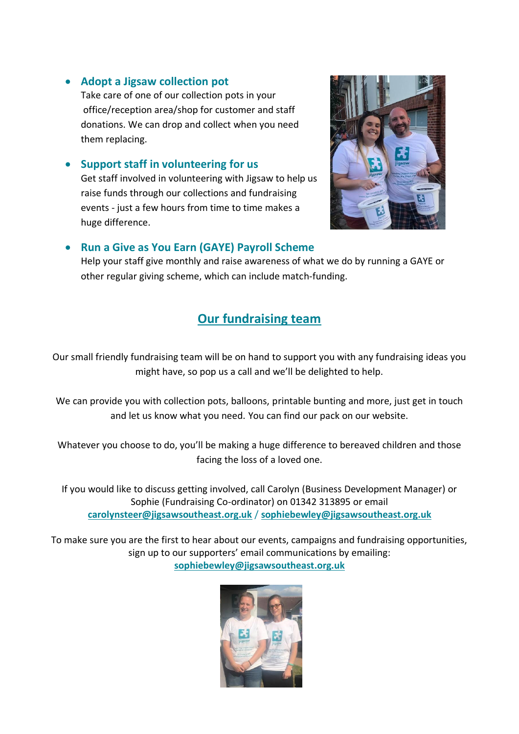#### • **Adopt a Jigsaw collection pot**

Take care of one of our collection pots in your office/reception area/shop for customer and staff donations. We can drop and collect when you need them replacing.

• **Support staff in volunteering for us** Get staff involved in volunteering with Jigsaw to help us raise funds through our collections and fundraising events - just a few hours from time to time makes a huge difference.



#### • **Run a Give as You Earn (GAYE) Payroll Scheme**

Help your staff give monthly and raise awareness of what we do by running a GAYE or other regular giving scheme, which can include match-funding.

# **Our fundraising team**

Our small friendly fundraising team will be on hand to support you with any fundraising ideas you might have, so pop us a call and we'll be delighted to help.

We can provide you with collection pots, balloons, printable bunting and more, just get in touch and let us know what you need. You can find our pack on our website.

Whatever you choose to do, you'll be making a huge difference to bereaved children and those facing the loss of a loved one.

If you would like to discuss getting involved, call Carolyn (Business Development Manager) or Sophie (Fundraising Co-ordinator) on 01342 313895 or email **carolynsteer@jigsawsoutheast.org.uk** / **[sophiebewley@jigsawsoutheast.org.uk](mailto:sophiebewley@jigsawsoutheast.org.uk)**

To make sure you are the first to hear about our events, campaigns and fundraising opportunities, sign up to our supporters' email communications by emailing: **sophiebewley@jigsawsoutheast.org.uk**

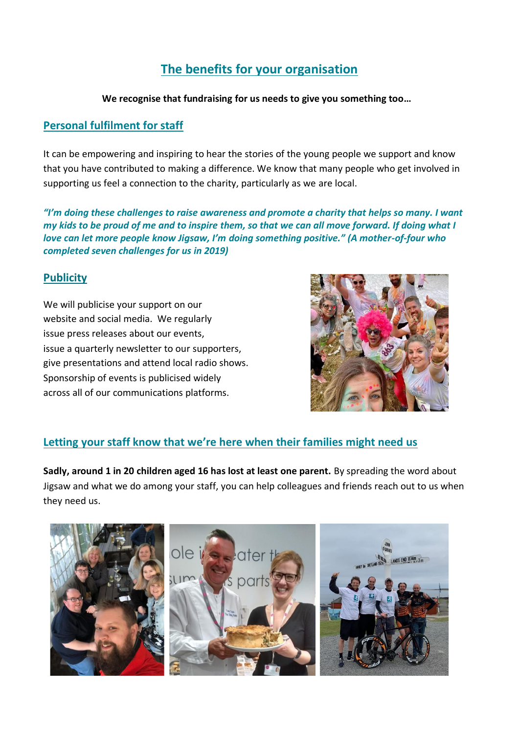# **The benefits for your organisation**

#### **We recognise that fundraising for us needs to give you something too…**

#### **Personal fulfilment for staff**

It can be empowering and inspiring to hear the stories of the young people we support and know that you have contributed to making a difference. We know that many people who get involved in supporting us feel a connection to the charity, particularly as we are local.

*"I'm doing these challenges to raise awareness and promote a charity that helps so many. I want my kids to be proud of me and to inspire them, so that we can all move forward. If doing what I love can let more people know Jigsaw, I'm doing something positive." (A mother-of-four who completed seven challenges for us in 2019)*

#### **Publicity**

We will publicise your support on our website and social media. We regularly issue press releases about our events, issue a quarterly newsletter to our supporters, give presentations and attend local radio shows. Sponsorship of events is publicised widely across all of our communications platforms.



### **Letting your staff know that we're here when their families might need us**

**Sadly, around 1 in 20 children aged 16 has lost at least one parent.** By spreading the word about Jigsaw and what we do among your staff, you can help colleagues and friends reach out to us when they need us.